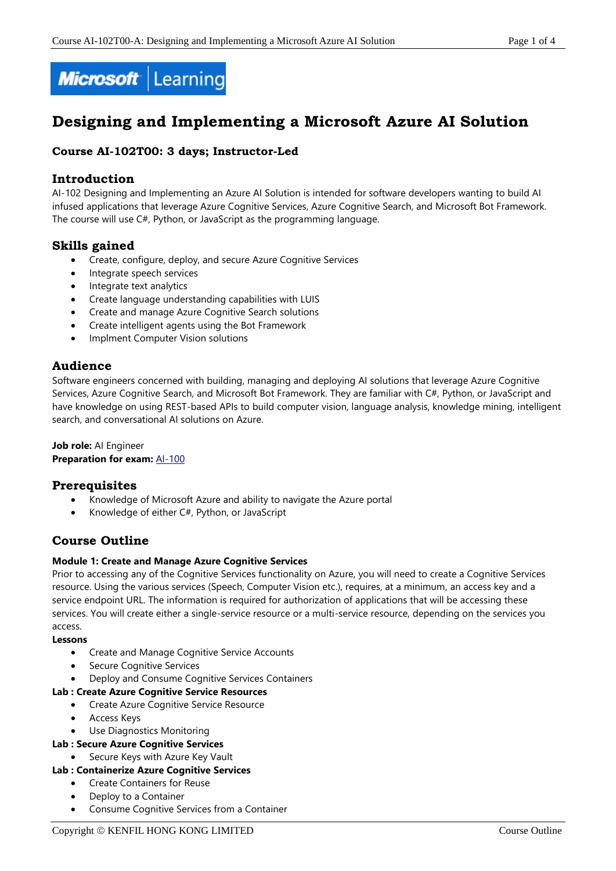

# **Designing and Implementing a Microsoft Azure AI Solution**

# **Course AI-102T00: 3 days; Instructor-Led**

# **Introduction**

AI-102 Designing and Implementing an Azure AI Solution is intended for software developers wanting to build AI infused applications that leverage Azure Cognitive Services, Azure Cognitive Search, and Microsoft Bot Framework. The course will use C#, Python, or JavaScript as the programming language.

# **Skills gained**

- Create, configure, deploy, and secure Azure Cognitive Services
- Integrate speech services
- Integrate text analytics
- Create language understanding capabilities with LUIS
- Create and manage Azure Cognitive Search solutions
- Create intelligent agents using the Bot Framework
- Implment Computer Vision solutions

# **Audience**

Software engineers concerned with building, managing and deploying AI solutions that leverage Azure Cognitive Services, Azure Cognitive Search, and Microsoft Bot Framework. They are familiar with C#, Python, or JavaScript and have knowledge on using REST-based APIs to build computer vision, language analysis, knowledge mining, intelligent search, and conversational AI solutions on Azure.

# **Job role:** AI Engineer

# **Preparation for exam:** [AI-100](https://docs.microsoft.com/en-us/learn/certifications/exams/ai-100)

# **Prerequisites**

- Knowledge of Microsoft Azure and ability to navigate the Azure portal
- Knowledge of either C#, Python, or JavaScript

# **Course Outline**

# **Module 1: Create and Manage Azure Cognitive Services**

Prior to accessing any of the Cognitive Services functionality on Azure, you will need to create a Cognitive Services resource. Using the various services (Speech, Computer Vision etc.), requires, at a minimum, an access key and a service endpoint URL. The information is required for authorization of applications that will be accessing these services. You will create either a single-service resource or a multi-service resource, depending on the services you access.

**Lessons**

- Create and Manage Cognitive Service Accounts
- Secure Cognitive Services
- Deploy and Consume Cognitive Services Containers

# **Lab : Create Azure Cognitive Service Resources**

- Create Azure Cognitive Service Resource
- Access Keys
- Use Diagnostics Monitoring

# **Lab : Secure Azure Cognitive Services**

Secure Keys with Azure Key Vault

# **Lab : Containerize Azure Cognitive Services**

- Create Containers for Reuse
- Deploy to a Container
- Consume Cognitive Services from a Container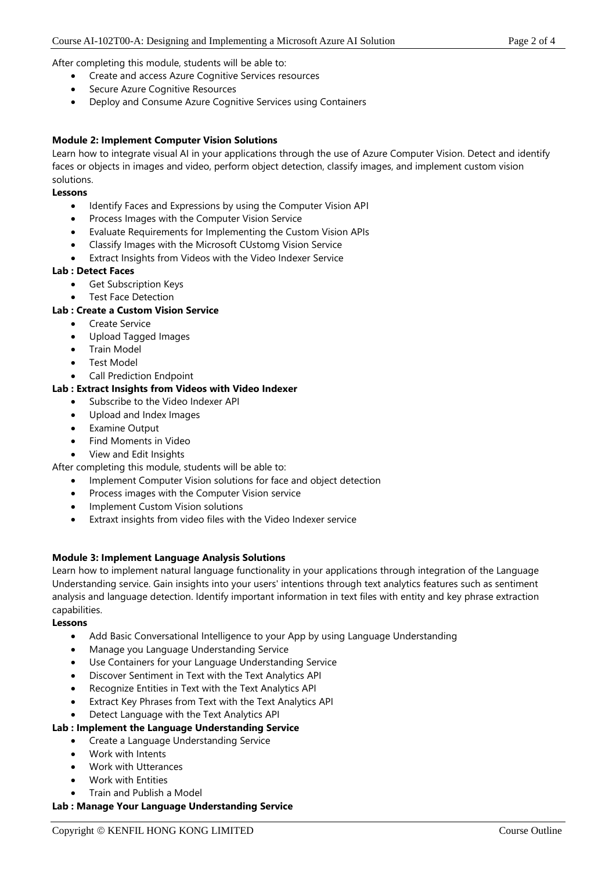After completing this module, students will be able to:

- Create and access Azure Cognitive Services resources
- Secure Azure Cognitive Resources
- Deploy and Consume Azure Cognitive Services using Containers

#### **Module 2: Implement Computer Vision Solutions**

Learn how to integrate visual AI in your applications through the use of Azure Computer Vision. Detect and identify faces or objects in images and video, perform object detection, classify images, and implement custom vision solutions.

#### **Lessons**

- Identify Faces and Expressions by using the Computer Vision API
- Process Images with the Computer Vision Service
- Evaluate Requirements for Implementing the Custom Vision APIs
- Classify Images with the Microsoft CUstomg Vision Service
- Extract Insights from Videos with the Video Indexer Service

#### **Lab : Detect Faces**

- Get Subscription Keys
- Test Face Detection

#### **Lab : Create a Custom Vision Service**

- Create Service
- Upload Tagged Images
- Train Model
- Test Model
- Call Prediction Endpoint

#### **Lab : Extract Insights from Videos with Video Indexer**

- Subscribe to the Video Indexer API
- Upload and Index Images
- **Examine Output**
- Find Moments in Video
- View and Edit Insights
- After completing this module, students will be able to:
	- Implement Computer Vision solutions for face and object detection
	- Process images with the Computer Vision service
	- Implement Custom Vision solutions
	- Extraxt insights from video files with the Video Indexer service

#### **Module 3: Implement Language Analysis Solutions**

Learn how to implement natural language functionality in your applications through integration of the Language Understanding service. Gain insights into your users' intentions through text analytics features such as sentiment analysis and language detection. Identify important information in text files with entity and key phrase extraction capabilities.

#### **Lessons**

- Add Basic Conversational Intelligence to your App by using Language Understanding
- Manage you Language Understanding Service
- Use Containers for your Language Understanding Service
- Discover Sentiment in Text with the Text Analytics API
- Recognize Entities in Text with the Text Analytics API
- Extract Key Phrases from Text with the Text Analytics API
- Detect Language with the Text Analytics API

#### **Lab : Implement the Language Understanding Service**

- Create a Language Understanding Service
	- Work with Intents
	- Work with Utterances
	- Work with Entities
- Train and Publish a Model

#### **Lab : Manage Your Language Understanding Service**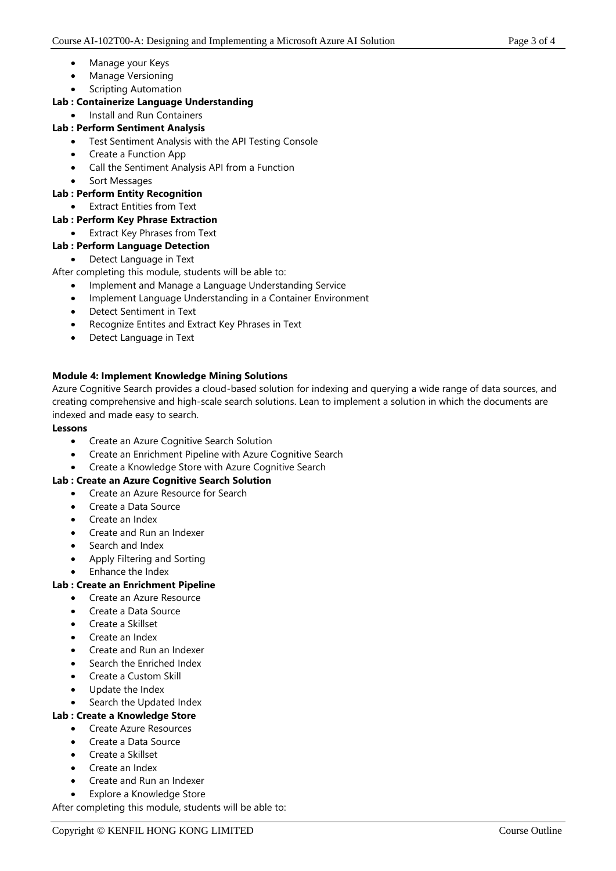- Manage your Keys
- Manage Versioning
- Scripting Automation

# **Lab : Containerize Language Understanding**

• Install and Run Containers

# **Lab : Perform Sentiment Analysis**

- Test Sentiment Analysis with the API Testing Console
- Create a Function App
- Call the Sentiment Analysis API from a Function
- Sort Messages

# **Lab : Perform Entity Recognition**

- Extract Entities from Text
- **Lab : Perform Key Phrase Extraction**
	- Extract Key Phrases from Text

# **Lab : Perform Language Detection**

• Detect Language in Text

After completing this module, students will be able to:

- Implement and Manage a Language Understanding Service
- Implement Language Understanding in a Container Environment
- Detect Sentiment in Text
- Recognize Entites and Extract Key Phrases in Text
- Detect Language in Text

# **Module 4: Implement Knowledge Mining Solutions**

Azure Cognitive Search provides a cloud-based solution for indexing and querying a wide range of data sources, and creating comprehensive and high-scale search solutions. Lean to implement a solution in which the documents are indexed and made easy to search.

# **Lessons**

- Create an Azure Cognitive Search Solution
- Create an Enrichment Pipeline with Azure Cognitive Search
- Create a Knowledge Store with Azure Cognitive Search

# **Lab : Create an Azure Cognitive Search Solution**

- Create an Azure Resource for Search
- Create a Data Source
- Create an Index
- Create and Run an Indexer
- Search and Index
- Apply Filtering and Sorting
- Enhance the Index

# **Lab : Create an Enrichment Pipeline**

- Create an Azure Resource
- Create a Data Source
- Create a Skillset
- Create an Index
- Create and Run an Indexer
- Search the Enriched Index
- Create a Custom Skill
- Update the Index
- Search the Updated Index

# **Lab : Create a Knowledge Store**

- Create Azure Resources
- Create a Data Source
- Create a Skillset
- Create an Index
- Create and Run an Indexer
- Explore a Knowledge Store

After completing this module, students will be able to: